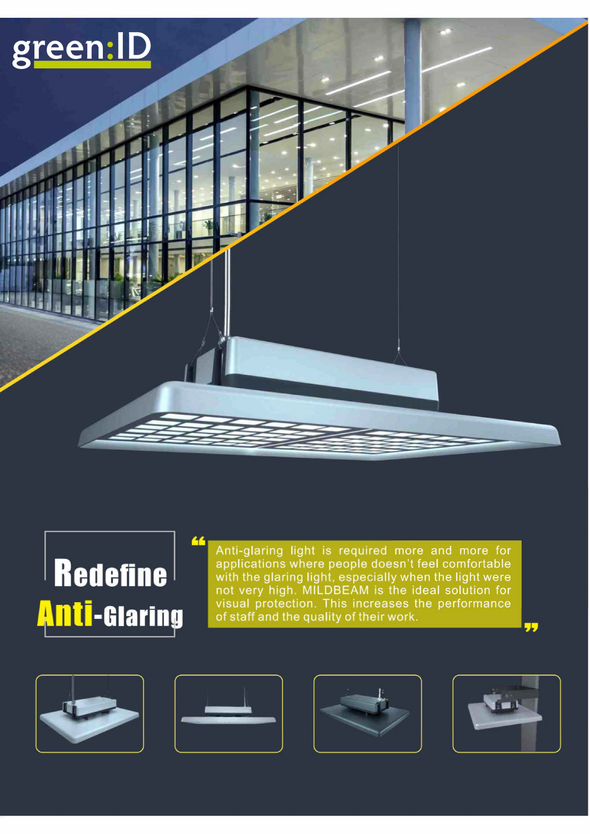# green:ID



Anti-glaring light is required more and more for applications where people doesn't feel comfortable with the glaring light, especially when the light were not very high. MILDBEAM is the ideal solution for visual protection. This increases the performance of staff and the quality of their work.









77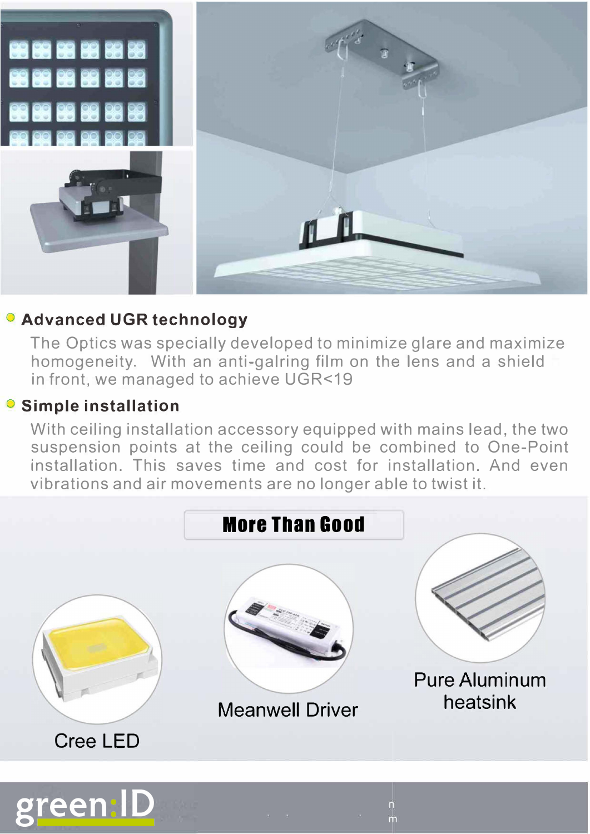

# **o Advanced UGR technology**

The Optics was specially developed to minimize glare and maximize homogeneity. With an anti-galring film on the lens and a shield in front, we managed to achieve UGR<19

## **o Simple installation**

With ceiling installation accessory equipped with mains lead, the two suspension points at the ceiling could be combined to One-Point installation. This saves time and cost for installation. And even vibrations and air movements are no longer able to twist it.

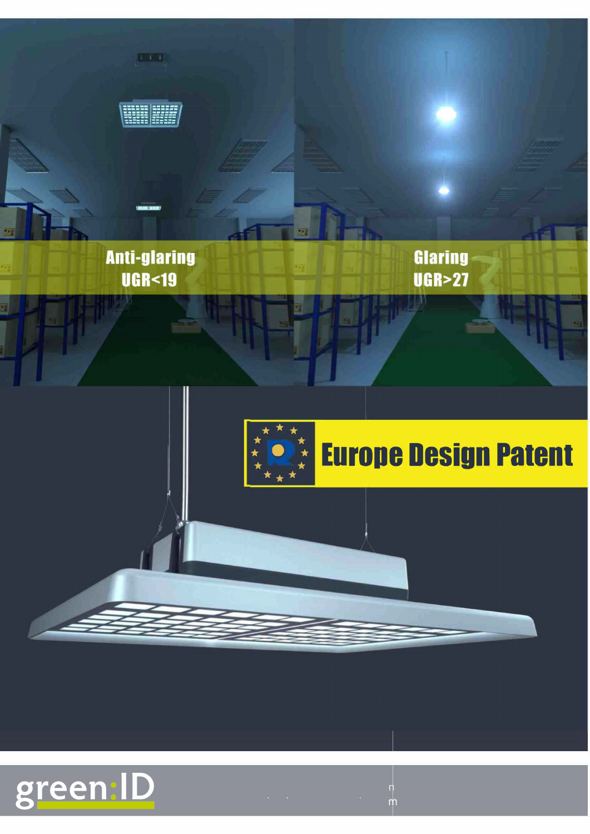

 $\frac{n}{m}$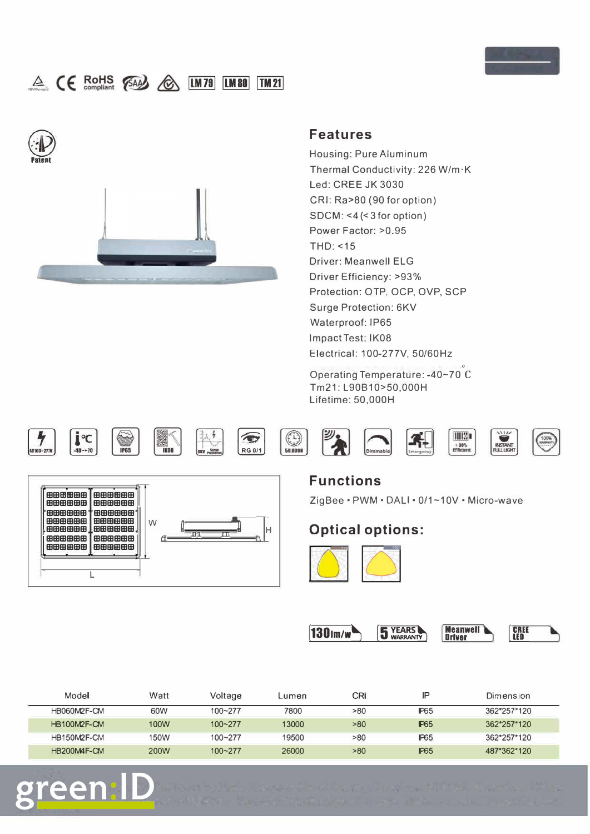

# A CE ROHS (SAA) C LM78 LM80 TM21





#### **Features**

Housing: Pure Aluminum Thermal Conductivity: 226 W/m·K Led: CREE JK 3030 CRI: Ra>80 (90 for option) SDCM: <4 (<3 for option) Power Factor: >0.95 THD: <15 Driver: Meanwell ELG Driver Efficiency: >93% Protection: OTP, OCP, OVP, SCP Surge Protection: 6KV Waterproof: IP65 lmpactTest: IK08 Electrical: 100-277V, 50/60Hz

° Operating Temperature: -40~ 70 C Tm21: L90B10>50,000H Lifetime: 50,000H



green











**INSTANT** 



### **Functions**  ZigBee · PWM · DALI · 0/1~10V · Micro-wave



**1301m/w 5 YEARS Meanwell CREE CREE**<br>LED

| Model              | Watt        | Voltage     | Lumen | CRI | ΙP          | Dimension   |
|--------------------|-------------|-------------|-------|-----|-------------|-------------|
| <b>HB060M2F-CM</b> | 60W         | 100~277     | 7800  | >80 | <b>P65</b>  | 362*257*120 |
| HB100M2F-CM        | 100W        | $100 - 277$ | 13000 | >80 | <b>P65</b>  | 362*257*120 |
| HB150M2F-CM        | 150W        | $100 - 277$ | 19500 | >80 | <b>IP65</b> | 362*257*120 |
| HB200M4F-CM        | <b>200W</b> | $100 - 277$ | 26000 | >80 | <b>IP65</b> | 487*362*120 |